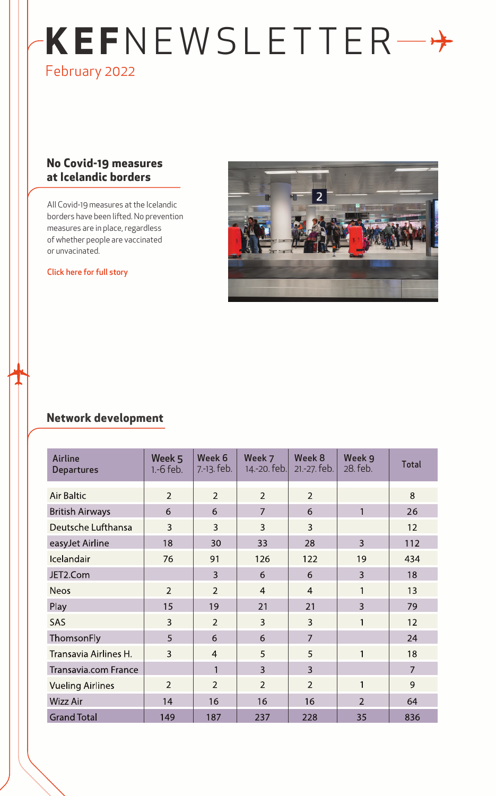# **KEF**NEWSLETTER February 2022

## **No Covid-19 measures at Icelandic borders**

All Covid-19 measures at the Icelandic borders have been lifted. No prevention measures are in place, regardless of whether people are vaccinated or unvacinated.

#### [Click here for full story](https://www.isavia.is/en/corporate/news-and-media/news/no-covid-19-measures-at-icelandic-borders)



## **Network development**

| <b>Airline</b><br><b>Departures</b> | Week 5<br>$1.-6$ feb. | Week 6<br>7.-13. feb. | Week 7<br>14.-20. feb. | Week 8<br>21 .- 27. feb. | Week 9<br>28. feb. | <b>Total</b>   |
|-------------------------------------|-----------------------|-----------------------|------------------------|--------------------------|--------------------|----------------|
| <b>Air Baltic</b>                   | $\overline{2}$        | $\overline{2}$        | $\overline{2}$         | $\overline{2}$           |                    | 8              |
| <b>British Airways</b>              | 6                     | 6                     | $\overline{7}$         | 6                        | 1                  | 26             |
| Deutsche Lufthansa                  | 3                     | 3                     | 3                      | 3                        |                    | 12             |
| easyJet Airline                     | 18                    | 30                    | 33                     | 28                       | $\overline{3}$     | 112            |
| Icelandair                          | 76                    | 91                    | 126                    | 122                      | 19                 | 434            |
| JET2.Com                            |                       | 3                     | 6                      | 6                        | $\overline{3}$     | 18             |
| <b>Neos</b>                         | $\overline{2}$        | $\overline{2}$        | $\overline{4}$         | $\overline{4}$           | 1                  | 13             |
| Play                                | 15                    | 19                    | 21                     | 21                       | $\overline{3}$     | 79             |
| SAS                                 | 3                     | $\overline{2}$        | 3                      | 3                        | 1                  | 12             |
| ThomsonFly                          | 5                     | 6                     | 6                      | $\overline{7}$           |                    | 24             |
| Transavia Airlines H.               | 3                     | $\overline{4}$        | 5                      | 5                        | 1                  | 18             |
| <b>Transavia.com France</b>         |                       | 1                     | $\overline{3}$         | $\overline{3}$           |                    | $\overline{7}$ |
| <b>Vueling Airlines</b>             | $\overline{2}$        | $\overline{2}$        | $\overline{2}$         | $\overline{2}$           | 1                  | 9              |
| <b>Wizz Air</b>                     | 14                    | 16                    | 16                     | 16                       | $\overline{2}$     | 64             |
| <b>Grand Total</b>                  | 149                   | 187                   | 237                    | 228                      | 35                 | 836            |